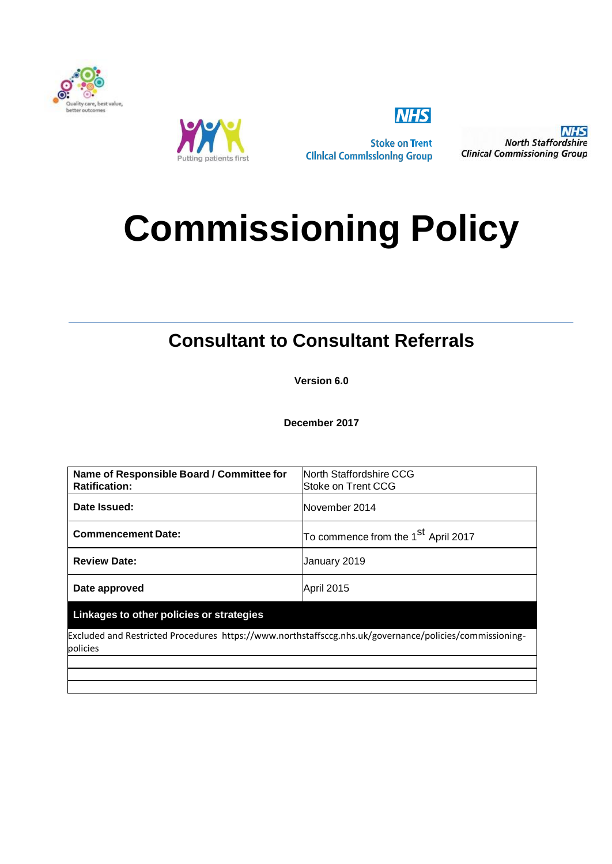



**Stoke on Trent Clinical Commissioning Group** 

**NHS** 

**NHS North Staffordshire Clinical Commissioning Group** 

# **Commissioning Policy**

# **Consultant to Consultant Referrals**

**Version 6.0**

**December 2017**

| North Staffordshire CCG<br>lStoke on Trent CCG                                                          |  |  |  |
|---------------------------------------------------------------------------------------------------------|--|--|--|
| November 2014                                                                                           |  |  |  |
| To commence from the $1st$ April 2017                                                                   |  |  |  |
| January 2019                                                                                            |  |  |  |
| April 2015                                                                                              |  |  |  |
| Linkages to other policies or strategies                                                                |  |  |  |
| Excluded and Restricted Procedures https://www.northstaffsccg.nhs.uk/governance/policies/commissioning- |  |  |  |
|                                                                                                         |  |  |  |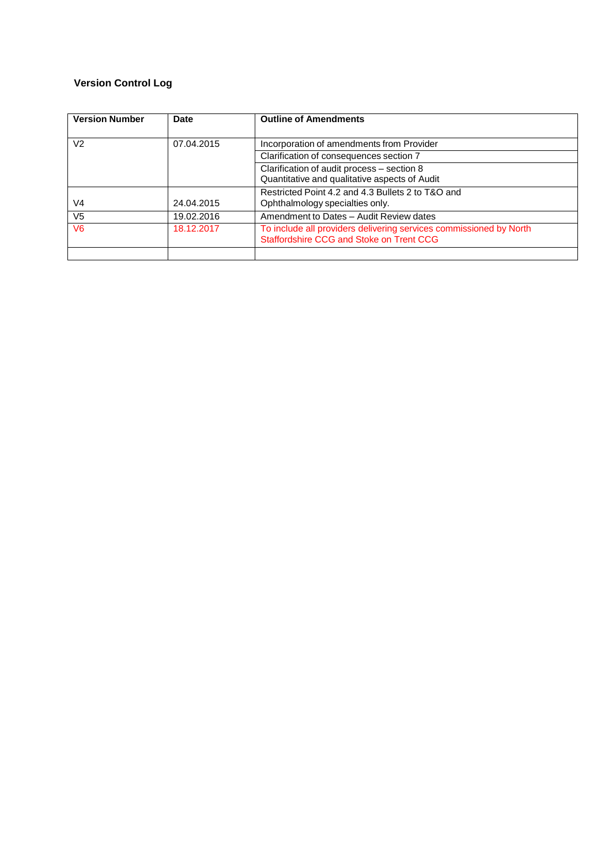# **Version Control Log**

| <b>Version Number</b> | <b>Date</b> | <b>Outline of Amendments</b>                                                                                   |
|-----------------------|-------------|----------------------------------------------------------------------------------------------------------------|
| V <sub>2</sub>        | 07.04.2015  | Incorporation of amendments from Provider                                                                      |
|                       |             | Clarification of consequences section 7                                                                        |
|                       |             | Clarification of audit process - section 8<br>Quantitative and qualitative aspects of Audit                    |
| V4                    | 24.04.2015  | Restricted Point 4.2 and 4.3 Bullets 2 to T&O and<br>Ophthalmology specialties only.                           |
| V <sub>5</sub>        | 19.02.2016  | Amendment to Dates - Audit Review dates                                                                        |
| V <sub>6</sub>        | 18.12.2017  | To include all providers delivering services commissioned by North<br>Staffordshire CCG and Stoke on Trent CCG |
|                       |             |                                                                                                                |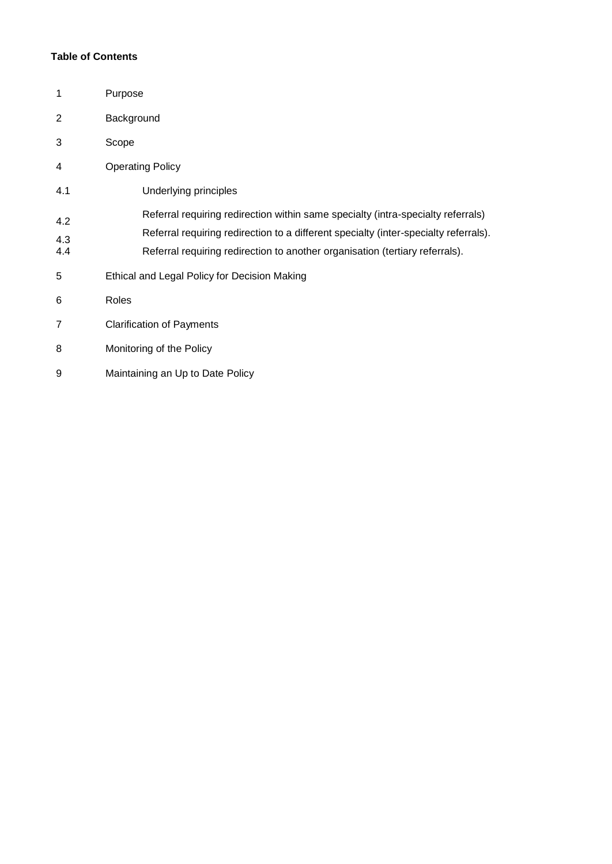# **Table of Contents**

| 1                 | Purpose                                                                                                                                                                                                                                                  |  |  |  |
|-------------------|----------------------------------------------------------------------------------------------------------------------------------------------------------------------------------------------------------------------------------------------------------|--|--|--|
| $\overline{2}$    | Background                                                                                                                                                                                                                                               |  |  |  |
| 3                 | Scope                                                                                                                                                                                                                                                    |  |  |  |
| 4                 | <b>Operating Policy</b>                                                                                                                                                                                                                                  |  |  |  |
| 4.1               | Underlying principles                                                                                                                                                                                                                                    |  |  |  |
| 4.2<br>4.3<br>4.4 | Referral requiring redirection within same specialty (intra-specialty referrals)<br>Referral requiring redirection to a different specialty (inter-specialty referrals).<br>Referral requiring redirection to another organisation (tertiary referrals). |  |  |  |
| 5                 | Ethical and Legal Policy for Decision Making                                                                                                                                                                                                             |  |  |  |
| 6                 | Roles                                                                                                                                                                                                                                                    |  |  |  |
| 7                 | <b>Clarification of Payments</b>                                                                                                                                                                                                                         |  |  |  |
| 8                 | Monitoring of the Policy                                                                                                                                                                                                                                 |  |  |  |
| 9                 | Maintaining an Up to Date Policy                                                                                                                                                                                                                         |  |  |  |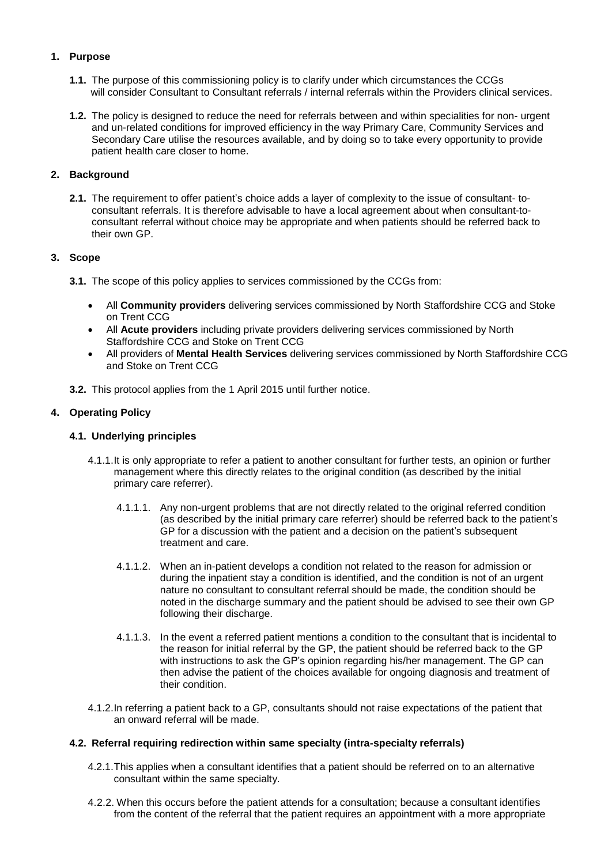# **1. Purpose**

- **1.1.** The purpose of this commissioning policy is to clarify under which circumstances the CCGs will consider Consultant to Consultant referrals / internal referrals within the Providers clinical services.
- **1.2.** The policy is designed to reduce the need for referrals between and within specialities for non- urgent and un-related conditions for improved efficiency in the way Primary Care, Community Services and Secondary Care utilise the resources available, and by doing so to take every opportunity to provide patient health care closer to home.

# **2. Background**

**2.1.** The requirement to offer patient's choice adds a layer of complexity to the issue of consultant- toconsultant referrals. It is therefore advisable to have a local agreement about when consultant-toconsultant referral without choice may be appropriate and when patients should be referred back to their own GP.

# **3. Scope**

- **3.1.** The scope of this policy applies to services commissioned by the CCGs from:
	- All **Community providers** delivering services commissioned by North Staffordshire CCG and Stoke on Trent CCG
	- All **Acute providers** including private providers delivering services commissioned by North Staffordshire CCG and Stoke on Trent CCG
	- All providers of **Mental Health Services** delivering services commissioned by North Staffordshire CCG and Stoke on Trent CCG
- **3.2.** This protocol applies from the 1 April 2015 until further notice.

# **4. Operating Policy**

# **4.1. Underlying principles**

- 4.1.1.It is only appropriate to refer a patient to another consultant for further tests, an opinion or further management where this directly relates to the original condition (as described by the initial primary care referrer).
	- 4.1.1.1. Any non-urgent problems that are not directly related to the original referred condition (as described by the initial primary care referrer) should be referred back to the patient's GP for a discussion with the patient and a decision on the patient's subsequent treatment and care.
	- 4.1.1.2. When an in-patient develops a condition not related to the reason for admission or during the inpatient stay a condition is identified, and the condition is not of an urgent nature no consultant to consultant referral should be made, the condition should be noted in the discharge summary and the patient should be advised to see their own GP following their discharge.
	- 4.1.1.3. In the event a referred patient mentions a condition to the consultant that is incidental to the reason for initial referral by the GP, the patient should be referred back to the GP with instructions to ask the GP's opinion regarding his/her management. The GP can then advise the patient of the choices available for ongoing diagnosis and treatment of their condition.
- 4.1.2.In referring a patient back to a GP, consultants should not raise expectations of the patient that an onward referral will be made.

# **4.2. Referral requiring redirection within same specialty (intra-specialty referrals)**

- 4.2.1.This applies when a consultant identifies that a patient should be referred on to an alternative consultant within the same specialty.
- 4.2.2. When this occurs before the patient attends for a consultation; because a consultant identifies from the content of the referral that the patient requires an appointment with a more appropriate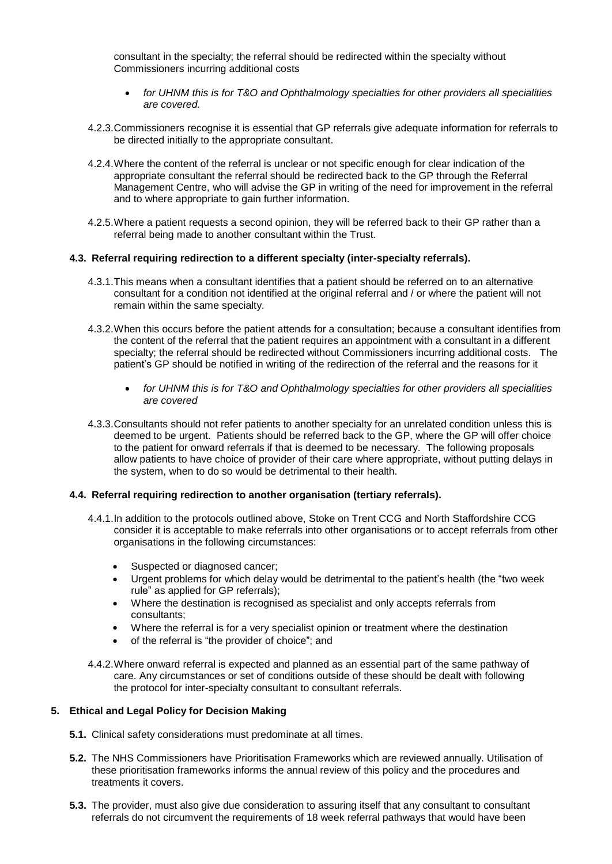consultant in the specialty; the referral should be redirected within the specialty without Commissioners incurring additional costs

- *for UHNM this is for T&O and Ophthalmology specialties for other providers all specialities are covered.*
- 4.2.3.Commissioners recognise it is essential that GP referrals give adequate information for referrals to be directed initially to the appropriate consultant.
- 4.2.4.Where the content of the referral is unclear or not specific enough for clear indication of the appropriate consultant the referral should be redirected back to the GP through the Referral Management Centre, who will advise the GP in writing of the need for improvement in the referral and to where appropriate to gain further information.
- 4.2.5.Where a patient requests a second opinion, they will be referred back to their GP rather than a referral being made to another consultant within the Trust.

#### **4.3. Referral requiring redirection to a different specialty (inter-specialty referrals).**

- 4.3.1.This means when a consultant identifies that a patient should be referred on to an alternative consultant for a condition not identified at the original referral and / or where the patient will not remain within the same specialty.
- 4.3.2.When this occurs before the patient attends for a consultation; because a consultant identifies from the content of the referral that the patient requires an appointment with a consultant in a different specialty; the referral should be redirected without Commissioners incurring additional costs. The patient's GP should be notified in writing of the redirection of the referral and the reasons for it
	- *for UHNM this is for T&O and Ophthalmology specialties for other providers all specialities are covered*
- 4.3.3.Consultants should not refer patients to another specialty for an unrelated condition unless this is deemed to be urgent. Patients should be referred back to the GP, where the GP will offer choice to the patient for onward referrals if that is deemed to be necessary. The following proposals allow patients to have choice of provider of their care where appropriate, without putting delays in the system, when to do so would be detrimental to their health.

#### **4.4. Referral requiring redirection to another organisation (tertiary referrals).**

- 4.4.1.In addition to the protocols outlined above, Stoke on Trent CCG and North Staffordshire CCG consider it is acceptable to make referrals into other organisations or to accept referrals from other organisations in the following circumstances:
	- Suspected or diagnosed cancer;
	- Urgent problems for which delay would be detrimental to the patient's health (the "two week rule" as applied for GP referrals);
	- Where the destination is recognised as specialist and only accepts referrals from consultants;
	- Where the referral is for a very specialist opinion or treatment where the destination
	- of the referral is "the provider of choice"; and
- 4.4.2.Where onward referral is expected and planned as an essential part of the same pathway of care. Any circumstances or set of conditions outside of these should be dealt with following the protocol for inter-specialty consultant to consultant referrals.

# **5. Ethical and Legal Policy for Decision Making**

- **5.1.** Clinical safety considerations must predominate at all times.
- **5.2.** The NHS Commissioners have Prioritisation Frameworks which are reviewed annually. Utilisation of these prioritisation frameworks informs the annual review of this policy and the procedures and treatments it covers.
- **5.3.** The provider, must also give due consideration to assuring itself that any consultant to consultant referrals do not circumvent the requirements of 18 week referral pathways that would have been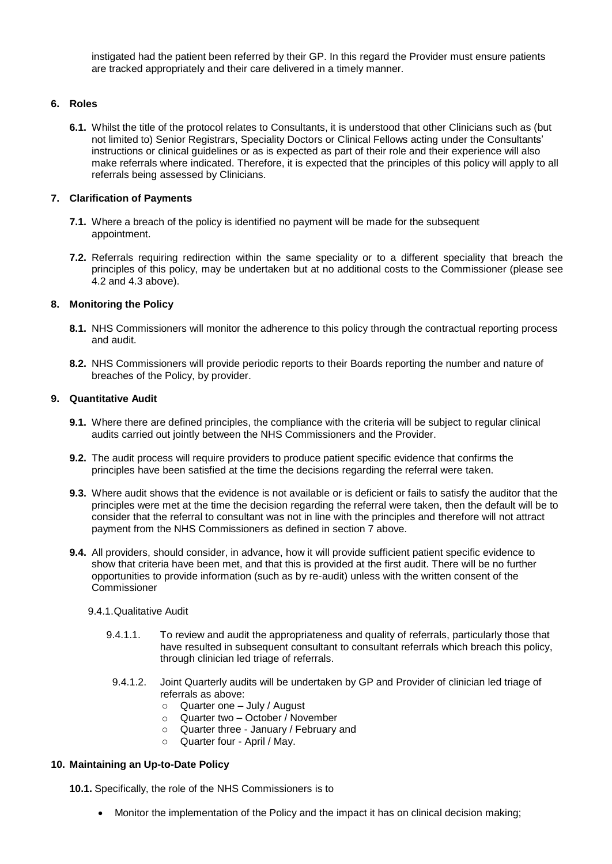instigated had the patient been referred by their GP. In this regard the Provider must ensure patients are tracked appropriately and their care delivered in a timely manner.

### **6. Roles**

**6.1.** Whilst the title of the protocol relates to Consultants, it is understood that other Clinicians such as (but not limited to) Senior Registrars, Speciality Doctors or Clinical Fellows acting under the Consultants' instructions or clinical guidelines or as is expected as part of their role and their experience will also make referrals where indicated. Therefore, it is expected that the principles of this policy will apply to all referrals being assessed by Clinicians.

#### **7. Clarification of Payments**

- **7.1.** Where a breach of the policy is identified no payment will be made for the subsequent appointment.
- **7.2.** Referrals requiring redirection within the same speciality or to a different speciality that breach the principles of this policy, may be undertaken but at no additional costs to the Commissioner (please see 4.2 and 4.3 above).

# **8. Monitoring the Policy**

- **8.1.** NHS Commissioners will monitor the adherence to this policy through the contractual reporting process and audit.
- **8.2.** NHS Commissioners will provide periodic reports to their Boards reporting the number and nature of breaches of the Policy, by provider.

# **9. Quantitative Audit**

- **9.1.** Where there are defined principles, the compliance with the criteria will be subject to regular clinical audits carried out jointly between the NHS Commissioners and the Provider.
- **9.2.** The audit process will require providers to produce patient specific evidence that confirms the principles have been satisfied at the time the decisions regarding the referral were taken.
- **9.3.** Where audit shows that the evidence is not available or is deficient or fails to satisfy the auditor that the principles were met at the time the decision regarding the referral were taken, then the default will be to consider that the referral to consultant was not in line with the principles and therefore will not attract payment from the NHS Commissioners as defined in section 7 above.
- **9.4.** All providers, should consider, in advance, how it will provide sufficient patient specific evidence to show that criteria have been met, and that this is provided at the first audit. There will be no further opportunities to provide information (such as by re-audit) unless with the written consent of the **Commissioner**

### 9.4.1.Qualitative Audit

- 9.4.1.1. To review and audit the appropriateness and quality of referrals, particularly those that have resulted in subsequent consultant to consultant referrals which breach this policy, through clinician led triage of referrals.
- 9.4.1.2. Joint Quarterly audits will be undertaken by GP and Provider of clinician led triage of referrals as above:
	- o Quarter one July / August
	- o Quarter two October / November
	- o Quarter three January / February and
	- o Quarter four April / May.

#### **10. Maintaining an Up-to-Date Policy**

**10.1.** Specifically, the role of the NHS Commissioners is to

Monitor the implementation of the Policy and the impact it has on clinical decision making;